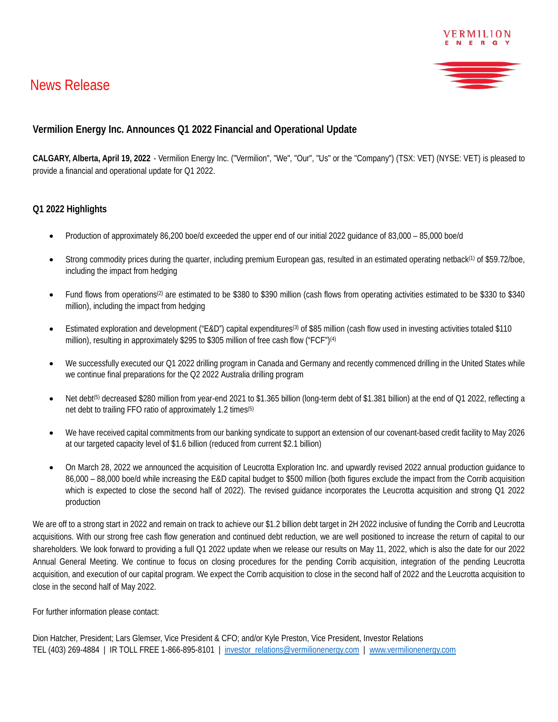

# News Release



## **Vermilion Energy Inc. Announces Q1 2022 Financial and Operational Update**

**CALGARY, Alberta, April 19, 2022** - Vermilion Energy Inc. ("Vermilion", "We", "Our", "Us" or the "Company") (TSX: VET) (NYSE: VET) is pleased to provide a financial and operational update for Q1 2022.

#### **Q1 2022 Highlights**

- Production of approximately 86,200 boe/d exceeded the upper end of our initial 2022 guidance of 83,000 85,000 boe/d
- Strong commodity prices during the quarter, including premium European gas, resulted in an estimated operating netback<sup>(1)</sup> of \$59.72/boe, including the impact from hedging
- Fund flows from operations(2) are estimated to be \$380 to \$390 million (cash flows from operating activities estimated to be \$330 to \$340 million), including the impact from hedging
- Estimated exploration and development ("E&D") capital expenditures<sup>(3)</sup> of \$85 million (cash flow used in investing activities totaled \$110 million), resulting in approximately \$295 to \$305 million of free cash flow ("FCF")<sup>(4)</sup>
- We successfully executed our Q1 2022 drilling program in Canada and Germany and recently commenced drilling in the United States while we continue final preparations for the Q2 2022 Australia drilling program
- Net debt<sup>(5)</sup> decreased \$280 million from year-end 2021 to \$1.365 billion (long-term debt of \$1.381 billion) at the end of Q1 2022, reflecting a net debt to trailing FFO ratio of approximately 1.2 times<sup>(5)</sup>
- We have received capital commitments from our banking syndicate to support an extension of our covenant-based credit facility to May 2026 at our targeted capacity level of \$1.6 billion (reduced from current \$2.1 billion)
- On March 28, 2022 we announced the acquisition of Leucrotta Exploration Inc. and upwardly revised 2022 annual production guidance to 86,000 – 88,000 boe/d while increasing the E&D capital budget to \$500 million (both figures exclude the impact from the Corrib acquisition which is expected to close the second half of 2022). The revised guidance incorporates the Leucrotta acquisition and strong Q1 2022 production

We are off to a strong start in 2022 and remain on track to achieve our \$1.2 billion debt target in 2H 2022 inclusive of funding the Corrib and Leucrotta acquisitions. With our strong free cash flow generation and continued debt reduction, we are well positioned to increase the return of capital to our shareholders. We look forward to providing a full Q1 2022 update when we release our results on May 11, 2022, which is also the date for our 2022 Annual General Meeting. We continue to focus on closing procedures for the pending Corrib acquisition, integration of the pending Leucrotta acquisition, and execution of our capital program. We expect the Corrib acquisition to close in the second half of 2022 and the Leucrotta acquisition to close in the second half of May 2022.

For further information please contact:

Dion Hatcher, President; Lars Glemser, Vice President & CFO; and/or Kyle Preston, Vice President, Investor Relations TEL (403) 269-4884 | IR TOLL FREE 1-866-895-8101 | investor\_relations@vermilionenergy.com | www.vermilionenergy.com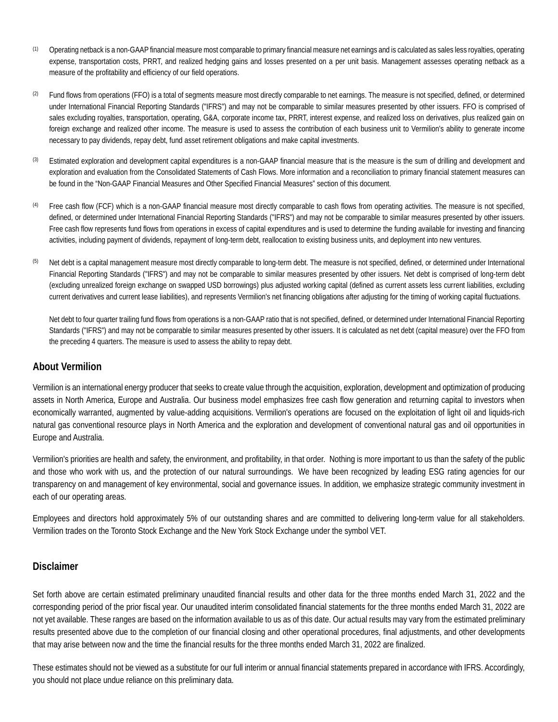- (1) Operating netback is a non-GAAP financial measure most comparable to primary financial measure net earnings and is calculated as sales less royalties, operating expense, transportation costs, PRRT, and realized hedging gains and losses presented on a per unit basis. Management assesses operating netback as a measure of the profitability and efficiency of our field operations.
- (2) Fund flows from operations (FFO) is a total of segments measure most directly comparable to net earnings. The measure is not specified, defined, or determined under International Financial Reporting Standards ("IFRS") and may not be comparable to similar measures presented by other issuers. FFO is comprised of sales excluding royalties, transportation, operating, G&A, corporate income tax, PRRT, interest expense, and realized loss on derivatives, plus realized gain on foreign exchange and realized other income. The measure is used to assess the contribution of each business unit to Vermilion's ability to generate income necessary to pay dividends, repay debt, fund asset retirement obligations and make capital investments.
- (3) Estimated exploration and development capital expenditures is a non-GAAP financial measure that is the measure is the sum of drilling and development and exploration and evaluation from the Consolidated Statements of Cash Flows. More information and a reconciliation to primary financial statement measures can be found in the "Non-GAAP Financial Measures and Other Specified Financial Measures" section of this document.
- (4) Free cash flow (FCF) which is a non-GAAP financial measure most directly comparable to cash flows from operating activities. The measure is not specified, defined, or determined under International Financial Reporting Standards ("IFRS") and may not be comparable to similar measures presented by other issuers. Free cash flow represents fund flows from operations in excess of capital expenditures and is used to determine the funding available for investing and financing activities, including payment of dividends, repayment of long-term debt, reallocation to existing business units, and deployment into new ventures.
- (5) Net debt is a capital management measure most directly comparable to long-term debt. The measure is not specified, defined, or determined under International Financial Reporting Standards ("IFRS") and may not be comparable to similar measures presented by other issuers. Net debt is comprised of long-term debt (excluding unrealized foreign exchange on swapped USD borrowings) plus adjusted working capital (defined as current assets less current liabilities, excluding current derivatives and current lease liabilities), and represents Vermilion's net financing obligations after adjusting for the timing of working capital fluctuations.

Net debt to four quarter trailing fund flows from operations is a non-GAAP ratio that is not specified, defined, or determined under International Financial Reporting Standards ("IFRS") and may not be comparable to similar measures presented by other issuers. It is calculated as net debt (capital measure) over the FFO from the preceding 4 quarters. The measure is used to assess the ability to repay debt.

### **About Vermilion**

Vermilion is an international energy producer that seeks to create value through the acquisition, exploration, development and optimization of producing assets in North America, Europe and Australia. Our business model emphasizes free cash flow generation and returning capital to investors when economically warranted, augmented by value-adding acquisitions. Vermilion's operations are focused on the exploitation of light oil and liquids-rich natural gas conventional resource plays in North America and the exploration and development of conventional natural gas and oil opportunities in Europe and Australia.

Vermilion's priorities are health and safety, the environment, and profitability, in that order. Nothing is more important to us than the safety of the public and those who work with us, and the protection of our natural surroundings. We have been recognized by leading ESG rating agencies for our transparency on and management of key environmental, social and governance issues. In addition, we emphasize strategic community investment in each of our operating areas.

Employees and directors hold approximately 5% of our outstanding shares and are committed to delivering long-term value for all stakeholders. Vermilion trades on the Toronto Stock Exchange and the New York Stock Exchange under the symbol VET.

#### **Disclaimer**

Set forth above are certain estimated preliminary unaudited financial results and other data for the three months ended March 31, 2022 and the corresponding period of the prior fiscal year. Our unaudited interim consolidated financial statements for the three months ended March 31, 2022 are not yet available. These ranges are based on the information available to us as of this date. Our actual results may vary from the estimated preliminary results presented above due to the completion of our financial closing and other operational procedures, final adjustments, and other developments that may arise between now and the time the financial results for the three months ended March 31, 2022 are finalized.

These estimates should not be viewed as a substitute for our full interim or annual financial statements prepared in accordance with IFRS. Accordingly, you should not place undue reliance on this preliminary data.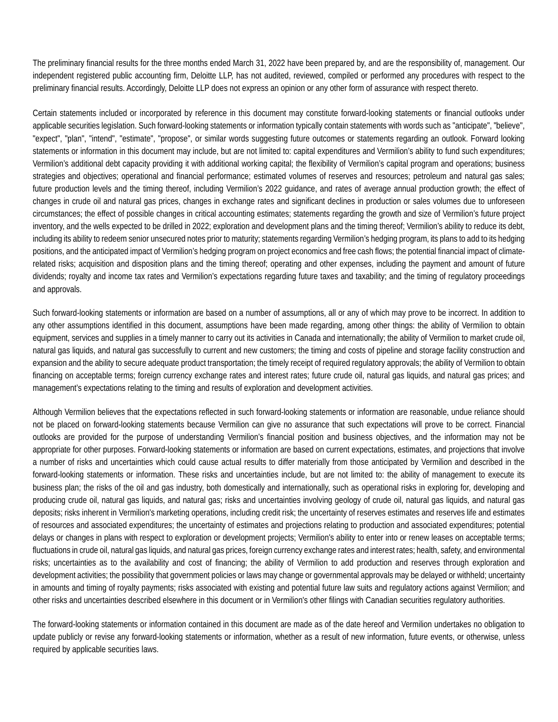The preliminary financial results for the three months ended March 31, 2022 have been prepared by, and are the responsibility of, management. Our independent registered public accounting firm, Deloitte LLP, has not audited, reviewed, compiled or performed any procedures with respect to the preliminary financial results. Accordingly, Deloitte LLP does not express an opinion or any other form of assurance with respect thereto.

Certain statements included or incorporated by reference in this document may constitute forward-looking statements or financial outlooks under applicable securities legislation. Such forward-looking statements or information typically contain statements with words such as "anticipate", "believe", "expect", "plan", "intend", "estimate", "propose", or similar words suggesting future outcomes or statements regarding an outlook. Forward looking statements or information in this document may include, but are not limited to: capital expenditures and Vermilion's ability to fund such expenditures; Vermilion's additional debt capacity providing it with additional working capital; the flexibility of Vermilion's capital program and operations; business strategies and objectives; operational and financial performance; estimated volumes of reserves and resources; petroleum and natural gas sales; future production levels and the timing thereof, including Vermilion's 2022 guidance, and rates of average annual production growth; the effect of changes in crude oil and natural gas prices, changes in exchange rates and significant declines in production or sales volumes due to unforeseen circumstances; the effect of possible changes in critical accounting estimates; statements regarding the growth and size of Vermilion's future project inventory, and the wells expected to be drilled in 2022; exploration and development plans and the timing thereof; Vermilion's ability to reduce its debt, including its ability to redeem senior unsecured notes prior to maturity; statements regarding Vermilion's hedging program, its plans to add to its hedging positions, and the anticipated impact of Vermilion's hedging program on project economics and free cash flows; the potential financial impact of climaterelated risks; acquisition and disposition plans and the timing thereof; operating and other expenses, including the payment and amount of future dividends; royalty and income tax rates and Vermilion's expectations regarding future taxes and taxability; and the timing of regulatory proceedings and approvals.

Such forward-looking statements or information are based on a number of assumptions, all or any of which may prove to be incorrect. In addition to any other assumptions identified in this document, assumptions have been made regarding, among other things: the ability of Vermilion to obtain equipment, services and supplies in a timely manner to carry out its activities in Canada and internationally; the ability of Vermilion to market crude oil, natural gas liquids, and natural gas successfully to current and new customers; the timing and costs of pipeline and storage facility construction and expansion and the ability to secure adequate product transportation; the timely receipt of required regulatory approvals; the ability of Vermilion to obtain financing on acceptable terms; foreign currency exchange rates and interest rates; future crude oil, natural gas liquids, and natural gas prices; and management's expectations relating to the timing and results of exploration and development activities.

Although Vermilion believes that the expectations reflected in such forward-looking statements or information are reasonable, undue reliance should not be placed on forward-looking statements because Vermilion can give no assurance that such expectations will prove to be correct. Financial outlooks are provided for the purpose of understanding Vermilion's financial position and business objectives, and the information may not be appropriate for other purposes. Forward-looking statements or information are based on current expectations, estimates, and projections that involve a number of risks and uncertainties which could cause actual results to differ materially from those anticipated by Vermilion and described in the forward-looking statements or information. These risks and uncertainties include, but are not limited to: the ability of management to execute its business plan; the risks of the oil and gas industry, both domestically and internationally, such as operational risks in exploring for, developing and producing crude oil, natural gas liquids, and natural gas; risks and uncertainties involving geology of crude oil, natural gas liquids, and natural gas deposits; risks inherent in Vermilion's marketing operations, including credit risk; the uncertainty of reserves estimates and reserves life and estimates of resources and associated expenditures; the uncertainty of estimates and projections relating to production and associated expenditures; potential delays or changes in plans with respect to exploration or development projects; Vermilion's ability to enter into or renew leases on acceptable terms; fluctuations in crude oil, natural gas liquids, and natural gas prices, foreign currency exchange rates and interest rates; health, safety, and environmental risks; uncertainties as to the availability and cost of financing; the ability of Vermilion to add production and reserves through exploration and development activities; the possibility that government policies or laws may change or governmental approvals may be delayed or withheld; uncertainty in amounts and timing of royalty payments; risks associated with existing and potential future law suits and regulatory actions against Vermilion; and other risks and uncertainties described elsewhere in this document or in Vermilion's other filings with Canadian securities regulatory authorities.

The forward-looking statements or information contained in this document are made as of the date hereof and Vermilion undertakes no obligation to update publicly or revise any forward-looking statements or information, whether as a result of new information, future events, or otherwise, unless required by applicable securities laws.